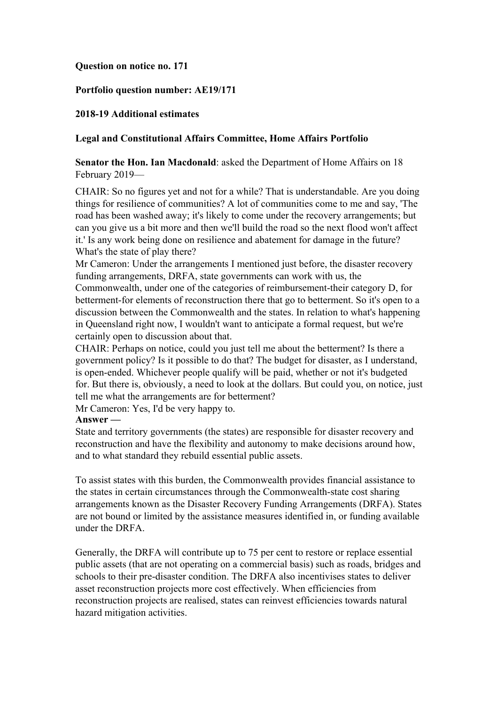## **Question on notice no. 171**

## **Portfolio question number: AE19/171**

### **2018-19 Additional estimates**

### **Legal and Constitutional Affairs Committee, Home Affairs Portfolio**

# **Senator the Hon. Ian Macdonald**: asked the Department of Home Affairs on 18 February 2019—

CHAIR: So no figures yet and not for a while? That is understandable. Are you doing things for resilience of communities? A lot of communities come to me and say, 'The road has been washed away; it's likely to come under the recovery arrangements; but can you give us a bit more and then we'll build the road so the next flood won't affect it.' Is any work being done on resilience and abatement for damage in the future? What's the state of play there?

Mr Cameron: Under the arrangements I mentioned just before, the disaster recovery funding arrangements, DRFA, state governments can work with us, the

Commonwealth, under one of the categories of reimbursement-their category D, for betterment-for elements of reconstruction there that go to betterment. So it's open to a discussion between the Commonwealth and the states. In relation to what's happening in Queensland right now, I wouldn't want to anticipate a formal request, but we're certainly open to discussion about that.

CHAIR: Perhaps on notice, could you just tell me about the betterment? Is there a government policy? Is it possible to do that? The budget for disaster, as I understand, is open-ended. Whichever people qualify will be paid, whether or not it's budgeted for. But there is, obviously, a need to look at the dollars. But could you, on notice, just tell me what the arrangements are for betterment?

Mr Cameron: Yes, I'd be very happy to.

#### **Answer —**

State and territory governments (the states) are responsible for disaster recovery and reconstruction and have the flexibility and autonomy to make decisions around how, and to what standard they rebuild essential public assets.

To assist states with this burden, the Commonwealth provides financial assistance to the states in certain circumstances through the Commonwealth-state cost sharing arrangements known as the Disaster Recovery Funding Arrangements (DRFA). States are not bound or limited by the assistance measures identified in, or funding available under the DRFA.

Generally, the DRFA will contribute up to 75 per cent to restore or replace essential public assets (that are not operating on a commercial basis) such as roads, bridges and schools to their pre-disaster condition. The DRFA also incentivises states to deliver asset reconstruction projects more cost effectively. When efficiencies from reconstruction projects are realised, states can reinvest efficiencies towards natural hazard mitigation activities.